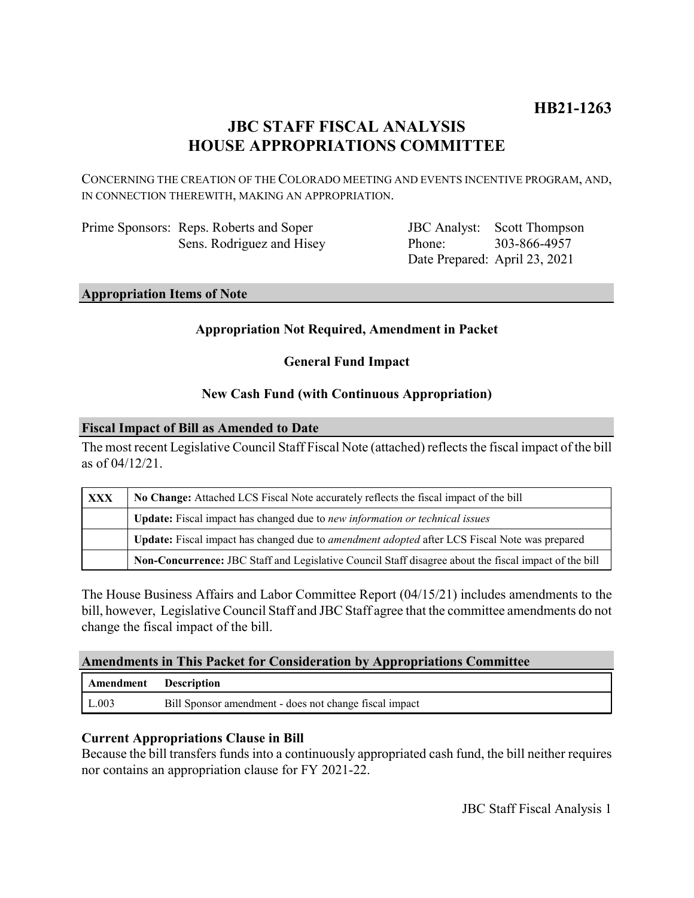# **JBC STAFF FISCAL ANALYSIS HOUSE APPROPRIATIONS COMMITTEE**

CONCERNING THE CREATION OF THE COLORADO MEETING AND EVENTS INCENTIVE PROGRAM, AND, IN CONNECTION THEREWITH, MAKING AN APPROPRIATION.

| Prime Sponsors: Reps. Roberts and Soper |
|-----------------------------------------|
| Sens. Rodriguez and Hisey               |

JBC Analyst: Scott Thompson Phone: Date Prepared: April 23, 2021 303-866-4957

# **Appropriation Items of Note**

# **Appropriation Not Required, Amendment in Packet**

**General Fund Impact**

# **New Cash Fund (with Continuous Appropriation)**

#### **Fiscal Impact of Bill as Amended to Date**

The most recent Legislative Council Staff Fiscal Note (attached) reflects the fiscal impact of the bill as of 04/12/21.

| <b>XXX</b> | No Change: Attached LCS Fiscal Note accurately reflects the fiscal impact of the bill                 |  |
|------------|-------------------------------------------------------------------------------------------------------|--|
|            | Update: Fiscal impact has changed due to new information or technical issues                          |  |
|            | Update: Fiscal impact has changed due to <i>amendment adopted</i> after LCS Fiscal Note was prepared  |  |
|            | Non-Concurrence: JBC Staff and Legislative Council Staff disagree about the fiscal impact of the bill |  |

The House Business Affairs and Labor Committee Report (04/15/21) includes amendments to the bill, however, Legislative Council Staff and JBC Staff agree that the committee amendments do not change the fiscal impact of the bill.

### **Amendments in This Packet for Consideration by Appropriations Committee**

| Amendment Description |                                                        |
|-----------------------|--------------------------------------------------------|
| L.003                 | Bill Sponsor amendment - does not change fiscal impact |

#### **Current Appropriations Clause in Bill**

Because the bill transfers funds into a continuously appropriated cash fund, the bill neither requires nor contains an appropriation clause for FY 2021-22.